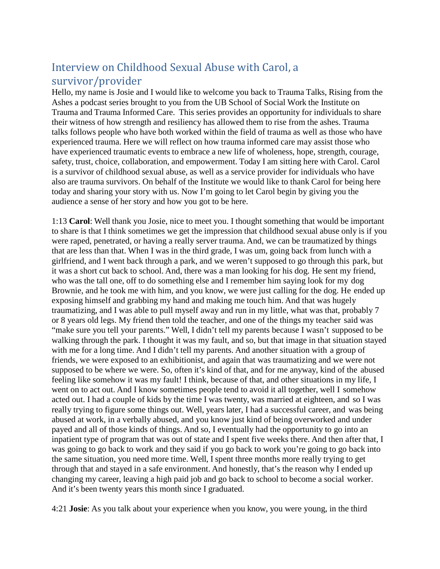## Interview on Childhood Sexual Abuse with Carol, a survivor/provider

Hello, my name is Josie and I would like to welcome you back to Trauma Talks, Rising from the Ashes a podcast series brought to you from the UB School of Social Work the Institute on Trauma and Trauma Informed Care. This series provides an opportunity for individuals to share their witness of how strength and resiliency has allowed them to rise from the ashes. Trauma talks follows people who have both worked within the field of trauma as well as those who have experienced trauma. Here we will reflect on how trauma informed care may assist those who have experienced traumatic events to embrace a new life of wholeness, hope, strength, courage, safety, trust, choice, collaboration, and empowerment. Today I am sitting here with Carol. Carol is a survivor of childhood sexual abuse, as well as a service provider for individuals who have also are trauma survivors. On behalf of the Institute we would like to thank Carol for being here today and sharing your story with us. Now I'm going to let Carol begin by giving you the audience a sense of her story and how you got to be here.

1:13 **Carol**: Well thank you Josie, nice to meet you. I thought something that would be important to share is that I think sometimes we get the impression that childhood sexual abuse only is if you were raped, penetrated, or having a really server trauma. And, we can be traumatized by things that are less than that. When I was in the third grade, I was um, going back from lunch with a girlfriend, and I went back through a park, and we weren't supposed to go through this park, but it was a short cut back to school. And, there was a man looking for his dog. He sent my friend, who was the tall one, off to do something else and I remember him saying look for my dog Brownie, and he took me with him, and you know, we were just calling for the dog. He ended up exposing himself and grabbing my hand and making me touch him. And that was hugely traumatizing, and I was able to pull myself away and run in my little, what was that, probably 7 or 8 years old legs. My friend then told the teacher, and one of the things my teacher said was "make sure you tell your parents." Well, I didn't tell my parents because I wasn't supposed to be walking through the park. I thought it was my fault, and so, but that image in that situation stayed with me for a long time. And I didn't tell my parents. And another situation with a group of friends, we were exposed to an exhibitionist, and again that was traumatizing and we were not supposed to be where we were. So, often it's kind of that, and for me anyway, kind of the abused feeling like somehow it was my fault! I think, because of that, and other situations in my life, I went on to act out. And I know sometimes people tend to avoid it all together, well I somehow acted out. I had a couple of kids by the time I was twenty, was married at eighteen, and so I was really trying to figure some things out. Well, years later, I had a successful career, and was being abused at work, in a verbally abused, and you know just kind of being overworked and under payed and all of those kinds of things. And so, I eventually had the opportunity to go into an inpatient type of program that was out of state and I spent five weeks there. And then after that, I was going to go back to work and they said if you go back to work you're going to go back into the same situation, you need more time. Well, I spent three months more really trying to get through that and stayed in a safe environment. And honestly, that's the reason why I ended up changing my career, leaving a high paid job and go back to school to become a social worker. And it's been twenty years this month since I graduated.

4:21 **Josie**: As you talk about your experience when you know, you were young, in the third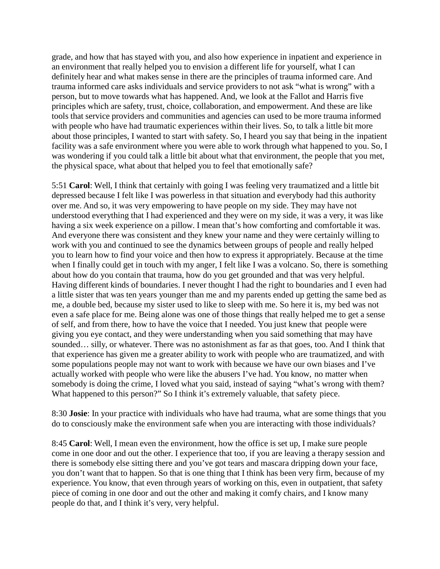grade, and how that has stayed with you, and also how experience in inpatient and experience in an environment that really helped you to envision a different life for yourself, what I can definitely hear and what makes sense in there are the principles of trauma informed care. And trauma informed care asks individuals and service providers to not ask "what is wrong" with a person, but to move towards what has happened. And, we look at the Fallot and Harris five principles which are safety, trust, choice, collaboration, and empowerment. And these are like tools that service providers and communities and agencies can used to be more trauma informed with people who have had traumatic experiences within their lives. So, to talk a little bit more about those principles, I wanted to start with safety. So, I heard you say that being in the inpatient facility was a safe environment where you were able to work through what happened to you. So, I was wondering if you could talk a little bit about what that environment, the people that you met, the physical space, what about that helped you to feel that emotionally safe?

5:51 **Carol**: Well, I think that certainly with going I was feeling very traumatized and a little bit depressed because I felt like I was powerless in that situation and everybody had this authority over me. And so, it was very empowering to have people on my side. They may have not understood everything that I had experienced and they were on my side, it was a very, it was like having a six week experience on a pillow. I mean that's how comforting and comfortable it was. And everyone there was consistent and they knew your name and they were certainly willing to work with you and continued to see the dynamics between groups of people and really helped you to learn how to find your voice and then how to express it appropriately. Because at the time when I finally could get in touch with my anger, I felt like I was a volcano. So, there is something about how do you contain that trauma, how do you get grounded and that was very helpful. Having different kinds of boundaries. I never thought I had the right to boundaries and I even had a little sister that was ten years younger than me and my parents ended up getting the same bed as me, a double bed, because my sister used to like to sleep with me. So here it is, my bed was not even a safe place for me. Being alone was one of those things that really helped me to get a sense of self, and from there, how to have the voice that I needed. You just knew that people were giving you eye contact, and they were understanding when you said something that may have sounded... silly, or whatever. There was no astonishment as far as that goes, too. And I think that that experience has given me a greater ability to work with people who are traumatized, and with some populations people may not want to work with because we have our own biases and I've actually worked with people who were like the abusers I've had. You know, no matter when somebody is doing the crime, I loved what you said, instead of saying "what's wrong with them? What happened to this person?" So I think it's extremely valuable, that safety piece.

8:30 **Josie**: In your practice with individuals who have had trauma, what are some things that you do to consciously make the environment safe when you are interacting with those individuals?

8:45 **Carol**: Well, I mean even the environment, how the office is set up, I make sure people come in one door and out the other. I experience that too, if you are leaving a therapy session and there is somebody else sitting there and you've got tears and mascara dripping down your face, you don't want that to happen. So that is one thing that I think has been very firm, because of my experience. You know, that even through years of working on this, even in outpatient, that safety piece of coming in one door and out the other and making it comfy chairs, and I know many people do that, and I think it's very, very helpful.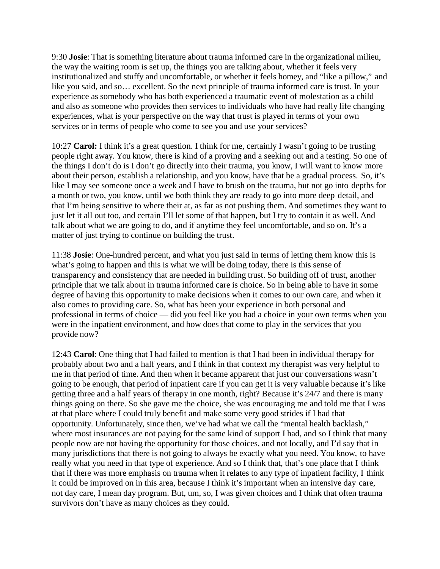9:30 **Josie**: That is something literature about trauma informed care in the organizational milieu, the way the waiting room is set up, the things you are talking about, whether it feels very institutionalized and stuffy and uncomfortable, or whether it feels homey, and "like a pillow," and like you said, and so… excellent. So the next principle of trauma informed care is trust. In your experience as somebody who has both experienced a traumatic event of molestation as a child and also as someone who provides then services to individuals who have had really life changing experiences, what is your perspective on the way that trust is played in terms of your own services or in terms of people who come to see you and use your services?

10:27 **Carol:** I think it's a great question. I think for me, certainly I wasn't going to be trusting people right away. You know, there is kind of a proving and a seeking out and a testing. So one of the things I don't do is I don't go directly into their trauma, you know, I will want to know more about their person, establish a relationship, and you know, have that be a gradual process. So, it's like I may see someone once a week and I have to brush on the trauma, but not go into depths for a month or two, you know, until we both think they are ready to go into more deep detail, and that I'm being sensitive to where their at, as far as not pushing them. And sometimes they want to just let it all out too, and certain I'll let some of that happen, but I try to contain it as well. And talk about what we are going to do, and if anytime they feel uncomfortable, and so on. It's a matter of just trying to continue on building the trust.

11:38 **Josie**: One-hundred percent, and what you just said in terms of letting them know this is what's going to happen and this is what we will be doing today, there is this sense of transparency and consistency that are needed in building trust. So building off of trust, another principle that we talk about in trauma informed care is choice. So in being able to have in some degree of having this opportunity to make decisions when it comes to our own care, and when it also comes to providing care. So, what has been your experience in both personal and professional in terms of choice — did you feel like you had a choice in your own terms when you were in the inpatient environment, and how does that come to play in the services that you provide now?

12:43 **Carol**: One thing that I had failed to mention is that I had been in individual therapy for probably about two and a half years, and I think in that context my therapist was very helpful to me in that period of time. And then when it became apparent that just our conversations wasn't going to be enough, that period of inpatient care if you can get it is very valuable because it's like getting three and a half years of therapy in one month, right? Because it's 24/7 and there is many things going on there. So she gave me the choice, she was encouraging me and told me that I was at that place where I could truly benefit and make some very good strides if I had that opportunity. Unfortunately, since then, we've had what we call the "mental health backlash," where most insurances are not paying for the same kind of support I had, and so I think that many people now are not having the opportunity for those choices, and not locally, and I'd say that in many jurisdictions that there is not going to always be exactly what you need. You know, to have really what you need in that type of experience. And so I think that, that's one place that I think that if there was more emphasis on trauma when it relates to any type of inpatient facility, I think it could be improved on in this area, because I think it's important when an intensive day care, not day care, I mean day program. But, um, so, I was given choices and I think that often trauma survivors don't have as many choices as they could.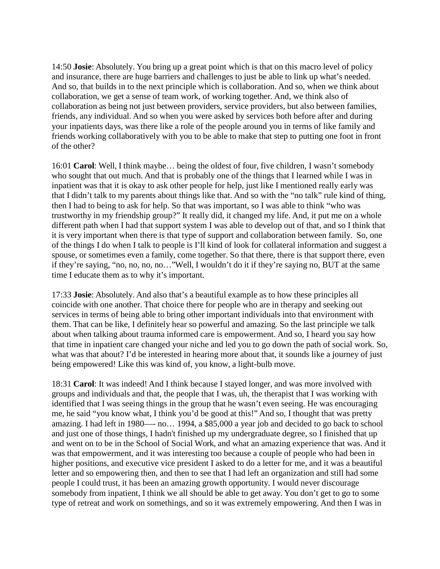14:50 **Josie**: Absolutely. You bring up a great point which is that on this macro level of policy and insurance, there are huge barriers and challenges to just be able to link up what's needed. And so, that builds in to the next principle which is collaboration. And so, when we think about collaboration, we get a sense of team work, of working together. And, we think also of collaboration as being not just between providers, service providers, but also between families, friends, any individual. And so when you were asked by services both before after and during your inpatients days, was there like a role of the people around you in terms of like family and friends working collaboratively with you to be able to make that step to putting one foot in front of the other?

16:01 **Carol**: Well, I think maybe… being the oldest of four, five children, I wasn't somebody who sought that out much. And that is probably one of the things that I learned while I was in inpatient was that it is okay to ask other people for help, just like I mentioned really early was that I didn't talk to my parents about things like that. And so with the "no talk" rule kind of thing, then I had to being to ask for help. So that was important, so I was able to think "who was trustworthy in my friendship group?" It really did, it changed my life. And, it put me on a whole different path when I had that support system I was able to develop out of that, and so I think that it is very important when there is that type of support and collaboration between family. So, one of the things I do when I talk to people is I'll kind of look for collateral information and suggest a spouse, or sometimes even a family, come together. So that there, there is that support there, even if they're saying, "no, no, no, no…"Well, I wouldn't do it if they're saying no, BUT at the same time I educate them as to why it's important.

17:33 **Josie**: Absolutely. And also that's a beautiful example as to how these principles all coincide with one another. That choice there for people who are in therapy and seeking out services in terms of being able to bring other important individuals into that environment with them. That can be like, I definitely hear so powerful and amazing. So the last principle we talk about when talking about trauma informed care is empowerment. And so, I heard you say how that time in inpatient care changed your niche and led you to go down the path of social work. So, what was that about? I'd be interested in hearing more about that, it sounds like a journey of just being empowered! Like this was kind of, you know, a light-bulb move.

18:31 **Carol**: It was indeed! And I think because I stayed longer, and was more involved with groups and individuals and that, the people that I was, uh, the therapist that I was working with identified that I was seeing things in the group that he wasn't even seeing. He was encouraging me, he said "you know what, I think you'd be good at this!" And so, I thought that was pretty amazing. I had left in 1980—- no… 1994, a \$85,000 a year job and decided to go back to school and just one of those things, I hadn't finished up my undergraduate degree, so I finished that up and went on to be in the School of Social Work, and what an amazing experience that was. And it was that empowerment, and it was interesting too because a couple of people who had been in higher positions, and executive vice president I asked to do a letter for me, and it was a beautiful letter and so empowering then, and then to see that I had left an organization and still had some people I could trust, it has been an amazing growth opportunity. I would never discourage somebody from inpatient, I think we all should be able to get away. You don't get to go to some type of retreat and work on somethings, and so it was extremely empowering. And then I was in